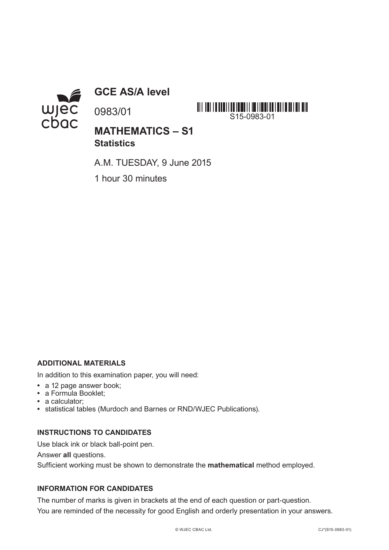

**GCE AS/A level**

0983/01



**MATHEMATICS – S1 Statistics**

A.M. TUESDAY, 9 June 2015

1 hour 30 minutes

## **ADDITIONAL MATERIALS**

In addition to this examination paper, you will need:

- **•** a 12 page answer book;
- **•** a Formula Booklet;
- **•** a calculator;
- **•** statistical tables (Murdoch and Barnes or RND/WJEC Publications).

#### **INSTRUCTIONS TO CANDIDATES**

Use black ink or black ball-point pen.

Answer **all** questions.

Sufficient working must be shown to demonstrate the **mathematical** method employed.

## **INFORMATION FOR CANDIDATES**

The number of marks is given in brackets at the end of each question or part-question. You are reminded of the necessity for good English and orderly presentation in your answers.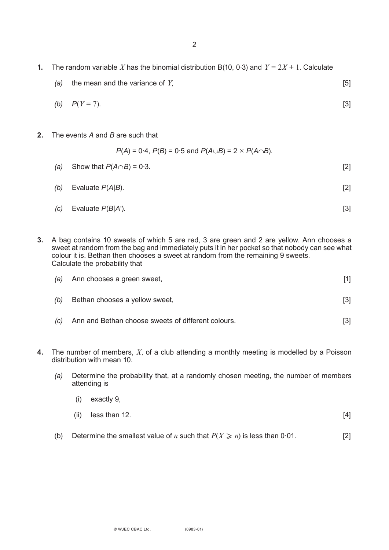- **1.** The random variable X has the binomial distribution B(10, 0.3) and  $Y = 2X + 1$ . Calculate
	- *(a)* the mean and the variance of *Y*, [5]

(b) 
$$
P(Y = 7)
$$
. [3]

**2.** The events *A* and *B* are such that

$$
P(A) = 0.4
$$
,  $P(B) = 0.5$  and  $P(A \cup B) = 2 \times P(A \cap B)$ .

- *(a)* Show that  $P(A \cap B) = 0.3$ . [2]
- *(b)* Evaluate *P*(*A*|*B*). [2]

(c) Evaluate 
$$
P(B|A')
$$
.

**3.** A bag contains 10 sweets of which 5 are red, 3 are green and 2 are yellow. Ann chooses a sweet at random from the bag and immediately puts it in her pocket so that nobody can see what colour it is. Bethan then chooses a sweet at random from the remaining 9 sweets. Calculate the probability that

|     | (a) Ann chooses a green sweet, |       |
|-----|--------------------------------|-------|
| (b) | Bethan chooses a yellow sweet, | $[3]$ |

- *(c)* Ann and Bethan choose sweets of different colours. [3]
- **4.** The number of members, *X*, of a club attending a monthly meeting is modelled by a Poisson distribution with mean 10.
	- *(a)* Determine the probability that, at a randomly chosen meeting, the number of members attending is
		- (i) exactly 9,  $(i)$  less than 12.
	- (b) Determine the smallest value of *n* such that  $P(X \ge n)$  is less than 0.01. [2]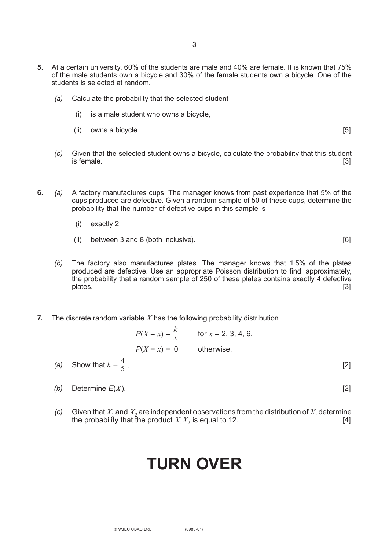- **5.** At a certain university, 60% of the students are male and 40% are female. It is known that 75% of the male students own a bicycle and 30% of the female students own a bicycle. One of the students is selected at random.
	- *(a)* Calculate the probability that the selected student
		- (i) is a male student who owns a bicycle,
		- (ii) owns a bicycle. **[5] compared in the set of the set of the set of the set of the set of the set of the set of the set of the set of the set of the set of the set of the set of the set of the set of the set of the se**

- *(b)* Given that the selected student owns a bicycle, calculate the probability that this student is female.  $[3]$
- **6.** *(a)* A factory manufactures cups. The manager knows from past experience that 5% of the cups produced are defective. Given a random sample of 50 of these cups, determine the probability that the number of defective cups in this sample is
	- (i) exactly 2,
	- (ii) between 3 and 8 (both inclusive). [6]
	- *(b)* The factory also manufactures plates. The manager knows that 1·5% of the plates produced are defective. Use an appropriate Poisson distribution to find, approximately, the probability that a random sample of 250 of these plates contains exactly 4 defective<br>[3] plates. [3]
- **7.** The discrete random variable *X* has the following probability distribution.

|                         |                           | $P(X = x) = \frac{k}{x}$ for $x = 2, 3, 4, 6,$ |  |
|-------------------------|---------------------------|------------------------------------------------|--|
|                         | $P(X = x) = 0$ otherwise. |                                                |  |
| (a) Show that $I_r = 4$ |                           |                                                |  |

- *(a)* Show that  $k = \frac{4}{5}$ . [2] 5
	- *(b)* Determine *E*(*X*). [2]

*(c)* Given that  $X_1$  and  $X_2$  are independent observations from the distribution of *X*, determine the probability that the product  $X_1X_2$  is equal to 12. the probability that the product  $X_1X_2$  is equal to 12.

# **TURN OVER**